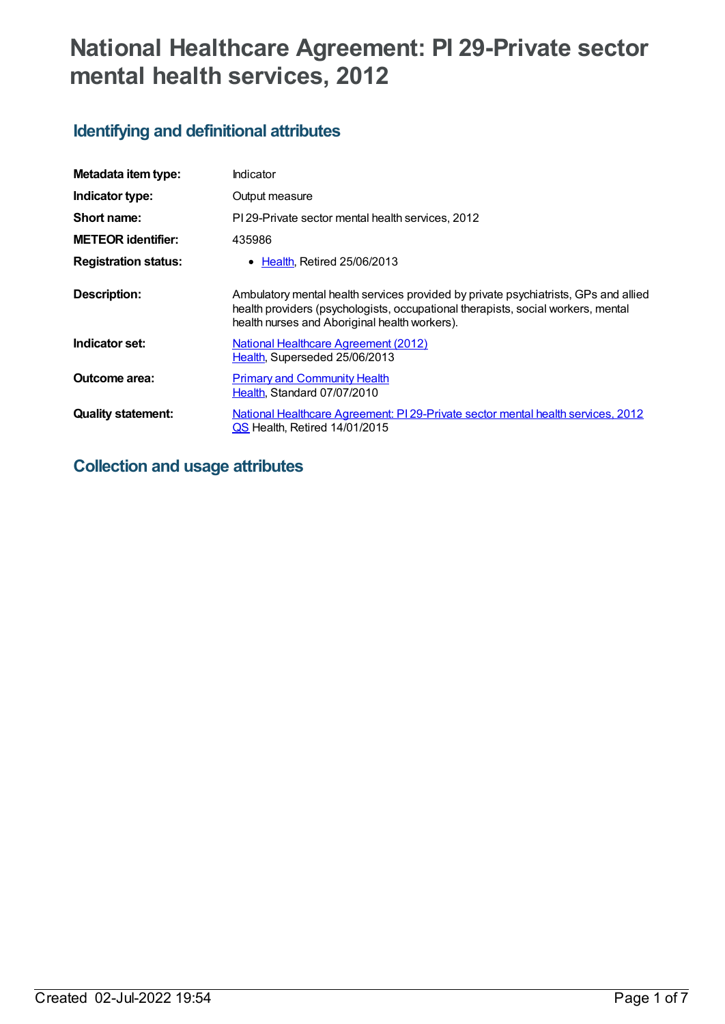# **National Healthcare Agreement: PI 29-Private sector mental health services, 2012**

# **Identifying and definitional attributes**

| Metadata item type:         | Indicator                                                                                                                                                                                                                |
|-----------------------------|--------------------------------------------------------------------------------------------------------------------------------------------------------------------------------------------------------------------------|
| Indicator type:             | Output measure                                                                                                                                                                                                           |
| Short name:                 | PI 29-Private sector mental health services, 2012                                                                                                                                                                        |
| <b>METEOR identifier:</b>   | 435986                                                                                                                                                                                                                   |
| <b>Registration status:</b> | $\bullet$ Health, Retired 25/06/2013                                                                                                                                                                                     |
| <b>Description:</b>         | Ambulatory mental health services provided by private psychiatrists, GPs and allied<br>health providers (psychologists, occupational therapists, social workers, mental<br>health nurses and Aboriginal health workers). |
| Indicator set:              | National Healthcare Agreement (2012)<br>Health, Superseded 25/06/2013                                                                                                                                                    |
| Outcome area:               | <b>Primary and Community Health</b><br>Health, Standard 07/07/2010                                                                                                                                                       |
| <b>Quality statement:</b>   | National Healthcare Agreement: PI 29-Private sector mental health services, 2012<br>QS Health, Retired 14/01/2015                                                                                                        |

# **Collection and usage attributes**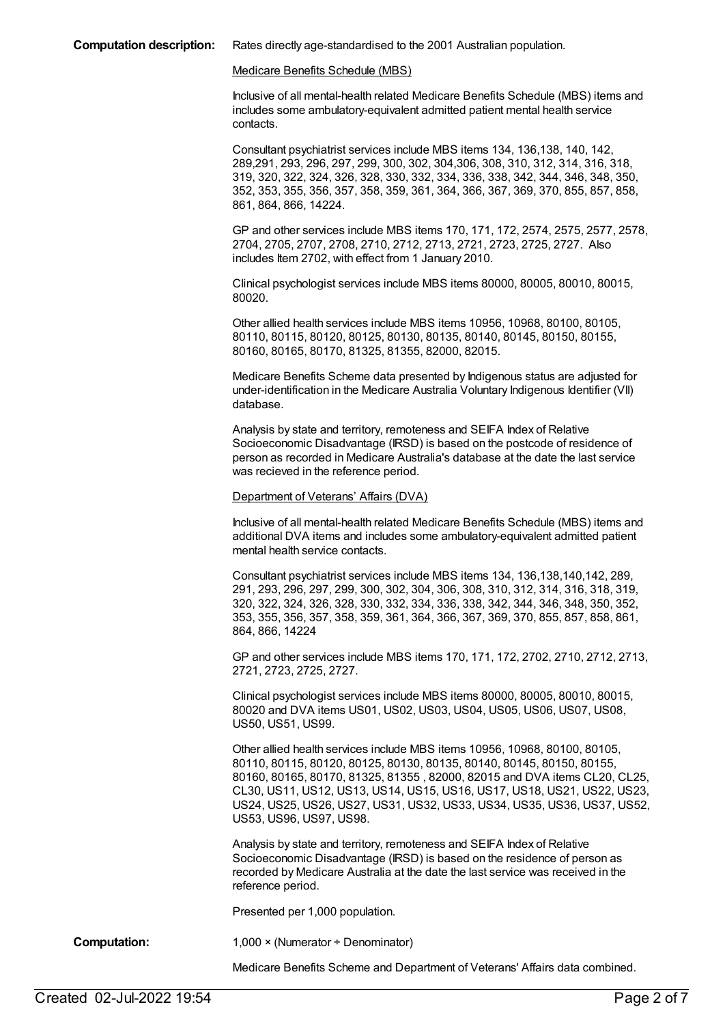#### Medicare Benefits Schedule (MBS)

Inclusive of all mental-health related Medicare Benefits Schedule (MBS) items and includes some ambulatory-equivalent admitted patient mental health service contacts.

Consultant psychiatrist services include MBS items 134, 136,138, 140, 142, 289,291, 293, 296, 297, 299, 300, 302, 304,306, 308, 310, 312, 314, 316, 318, 319, 320, 322, 324, 326, 328, 330, 332, 334, 336, 338, 342, 344, 346, 348, 350, 352, 353, 355, 356, 357, 358, 359, 361, 364, 366, 367, 369, 370, 855, 857, 858, 861, 864, 866, 14224.

GP and other services include MBS items 170, 171, 172, 2574, 2575, 2577, 2578, 2704, 2705, 2707, 2708, 2710, 2712, 2713, 2721, 2723, 2725, 2727. Also includes Item 2702, with effect from 1 January 2010.

Clinical psychologist services include MBS items 80000, 80005, 80010, 80015, 80020.

Other allied health services include MBS items 10956, 10968, 80100, 80105, 80110, 80115, 80120, 80125, 80130, 80135, 80140, 80145, 80150, 80155, 80160, 80165, 80170, 81325, 81355, 82000, 82015.

Medicare Benefits Scheme data presented by Indigenous status are adjusted for under-identification in the Medicare Australia Voluntary Indigenous Identifier (VII) database.

Analysis by state and territory, remoteness and SEIFA Index of Relative Socioeconomic Disadvantage (IRSD) is based on the postcode of residence of person as recorded in Medicare Australia's database at the date the last service was recieved in the reference period.

#### Department of Veterans' Affairs (DVA)

Inclusive of all mental-health related Medicare Benefits Schedule (MBS) items and additional DVA items and includes some ambulatory-equivalent admitted patient mental health service contacts.

Consultant psychiatrist services include MBS items 134, 136,138,140,142, 289, 291, 293, 296, 297, 299, 300, 302, 304, 306, 308, 310, 312, 314, 316, 318, 319, 320, 322, 324, 326, 328, 330, 332, 334, 336, 338, 342, 344, 346, 348, 350, 352, 353, 355, 356, 357, 358, 359, 361, 364, 366, 367, 369, 370, 855, 857, 858, 861, 864, 866, 14224

GP and other services include MBS items 170, 171, 172, 2702, 2710, 2712, 2713, 2721, 2723, 2725, 2727.

Clinical psychologist services include MBS items 80000, 80005, 80010, 80015, 80020 and DVA items US01, US02, US03, US04, US05, US06, US07, US08, US50, US51, US99.

Other allied health services include MBS items 10956, 10968, 80100, 80105, 80110, 80115, 80120, 80125, 80130, 80135, 80140, 80145, 80150, 80155, 80160, 80165, 80170, 81325, 81355 , 82000, 82015 and DVA items CL20, CL25, CL30, US11, US12, US13, US14, US15, US16, US17, US18, US21, US22, US23, US24, US25, US26, US27, US31, US32, US33, US34, US35, US36, US37, US52, US53, US96, US97, US98.

Analysis by state and territory, remoteness and SEIFA Index of Relative Socioeconomic Disadvantage (IRSD) is based on the residence of person as recorded by Medicare Australia at the date the last service was received in the reference period.

Presented per 1,000 population.

**Computation:** 1,000 × (Numerator ÷ Denominator)

Medicare Benefits Scheme and Department of Veterans' Affairs data combined.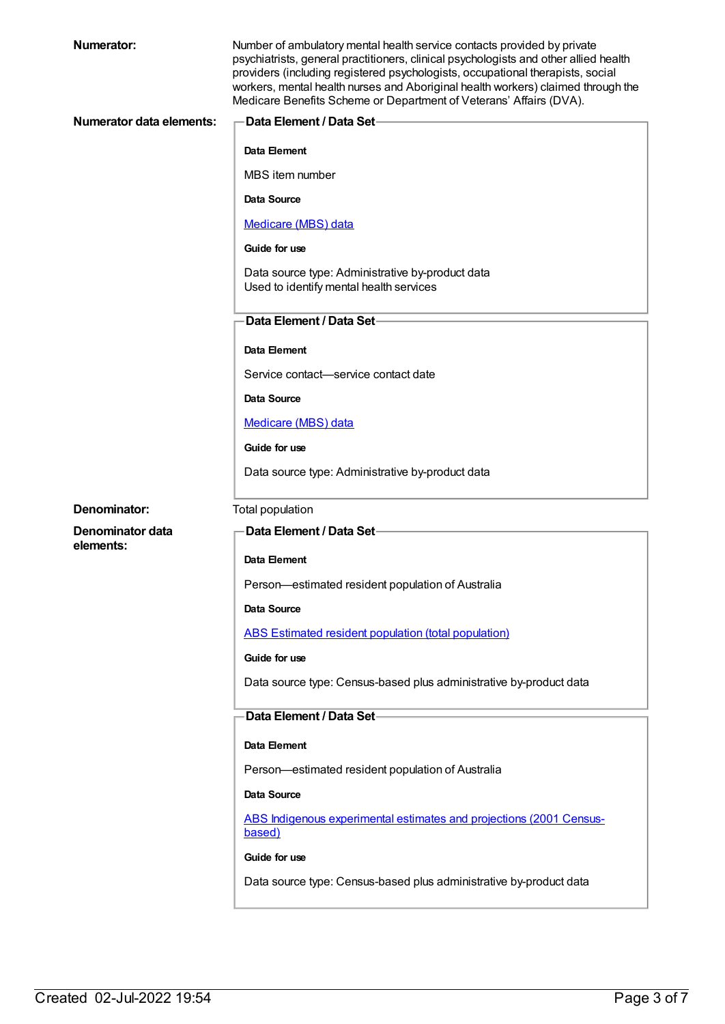| <b>Numerator:</b>        | Number of ambulatory mental health service contacts provided by private<br>psychiatrists, general practitioners, clinical psychologists and other allied health<br>providers (including registered psychologists, occupational therapists, social<br>workers, mental health nurses and Aboriginal health workers) claimed through the<br>Medicare Benefits Scheme or Department of Veterans' Affairs (DVA). |
|--------------------------|-------------------------------------------------------------------------------------------------------------------------------------------------------------------------------------------------------------------------------------------------------------------------------------------------------------------------------------------------------------------------------------------------------------|
| Numerator data elements: | Data Element / Data Set-                                                                                                                                                                                                                                                                                                                                                                                    |
|                          | Data Element                                                                                                                                                                                                                                                                                                                                                                                                |
|                          | MBS item number                                                                                                                                                                                                                                                                                                                                                                                             |
|                          | Data Source                                                                                                                                                                                                                                                                                                                                                                                                 |
|                          | Medicare (MBS) data                                                                                                                                                                                                                                                                                                                                                                                         |
|                          | Guide for use                                                                                                                                                                                                                                                                                                                                                                                               |
|                          | Data source type: Administrative by-product data<br>Used to identify mental health services                                                                                                                                                                                                                                                                                                                 |
|                          | Data Element / Data Set-                                                                                                                                                                                                                                                                                                                                                                                    |
|                          | Data Element                                                                                                                                                                                                                                                                                                                                                                                                |
|                          | Service contact—service contact date                                                                                                                                                                                                                                                                                                                                                                        |
|                          | Data Source                                                                                                                                                                                                                                                                                                                                                                                                 |
|                          | Medicare (MBS) data                                                                                                                                                                                                                                                                                                                                                                                         |
|                          | Guide for use                                                                                                                                                                                                                                                                                                                                                                                               |
|                          | Data source type: Administrative by-product data                                                                                                                                                                                                                                                                                                                                                            |
| Denominator:             | Total population                                                                                                                                                                                                                                                                                                                                                                                            |
| Denominator data         | Data Element / Data Set-                                                                                                                                                                                                                                                                                                                                                                                    |
| elements:                | Data Element                                                                                                                                                                                                                                                                                                                                                                                                |
|                          | Person-estimated resident population of Australia                                                                                                                                                                                                                                                                                                                                                           |
|                          | Data Source                                                                                                                                                                                                                                                                                                                                                                                                 |
|                          | ABS Estimated resident population (total population)                                                                                                                                                                                                                                                                                                                                                        |
|                          | Guide for use                                                                                                                                                                                                                                                                                                                                                                                               |
|                          | Data source type: Census-based plus administrative by-product data                                                                                                                                                                                                                                                                                                                                          |
|                          | Data Element / Data Set-                                                                                                                                                                                                                                                                                                                                                                                    |
|                          | Data Element                                                                                                                                                                                                                                                                                                                                                                                                |
|                          | Person-estimated resident population of Australia                                                                                                                                                                                                                                                                                                                                                           |
|                          | Data Source                                                                                                                                                                                                                                                                                                                                                                                                 |
|                          | ABS Indigenous experimental estimates and projections (2001 Census-<br>based)                                                                                                                                                                                                                                                                                                                               |
|                          | Guide for use                                                                                                                                                                                                                                                                                                                                                                                               |
|                          | Data source type: Census-based plus administrative by-product data                                                                                                                                                                                                                                                                                                                                          |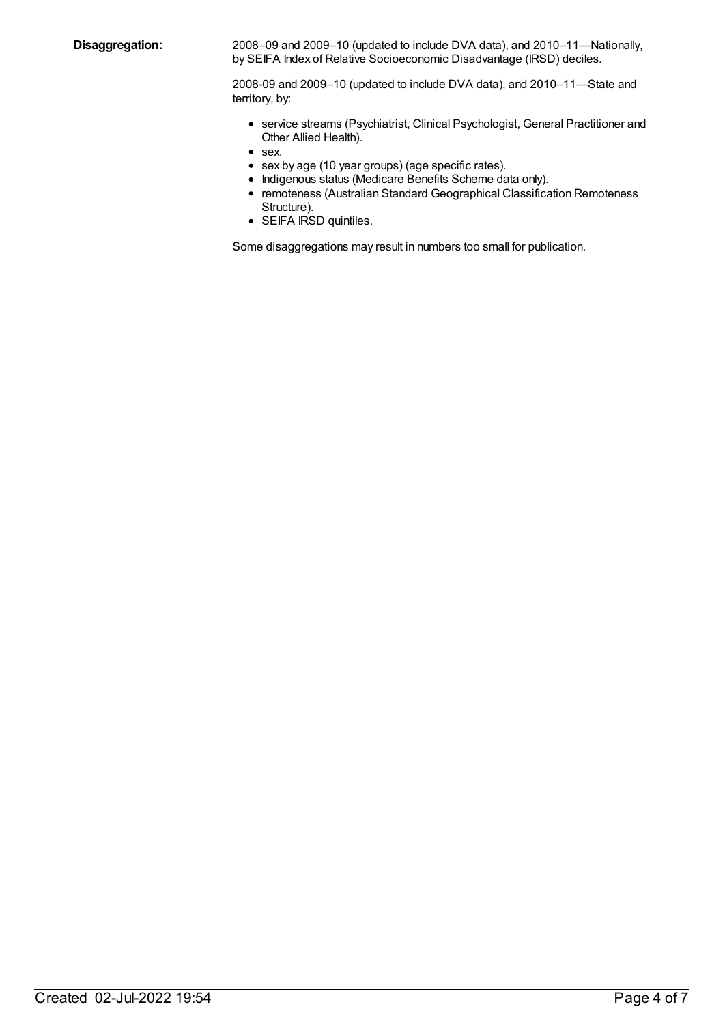**Disaggregation:** 2008–09 and 2009–10 (updated to include DVA data), and 2010–11—Nationally, by SEIFA Index of Relative Socioeconomic Disadvantage (IRSD) deciles.

> 2008-09 and 2009–10 (updated to include DVA data), and 2010–11—State and territory, by:

- service streams (Psychiatrist, Clinical Psychologist, General Practitioner and Other Allied Health).
- sex.
- sex by age (10 year groups) (age specific rates).
- Indigenous status (Medicare Benefits Scheme data only).
- remoteness (Australian Standard Geographical Classification Remoteness Structure).
- SEIFA IRSD quintiles.

Some disaggregations may result in numbers too small for publication.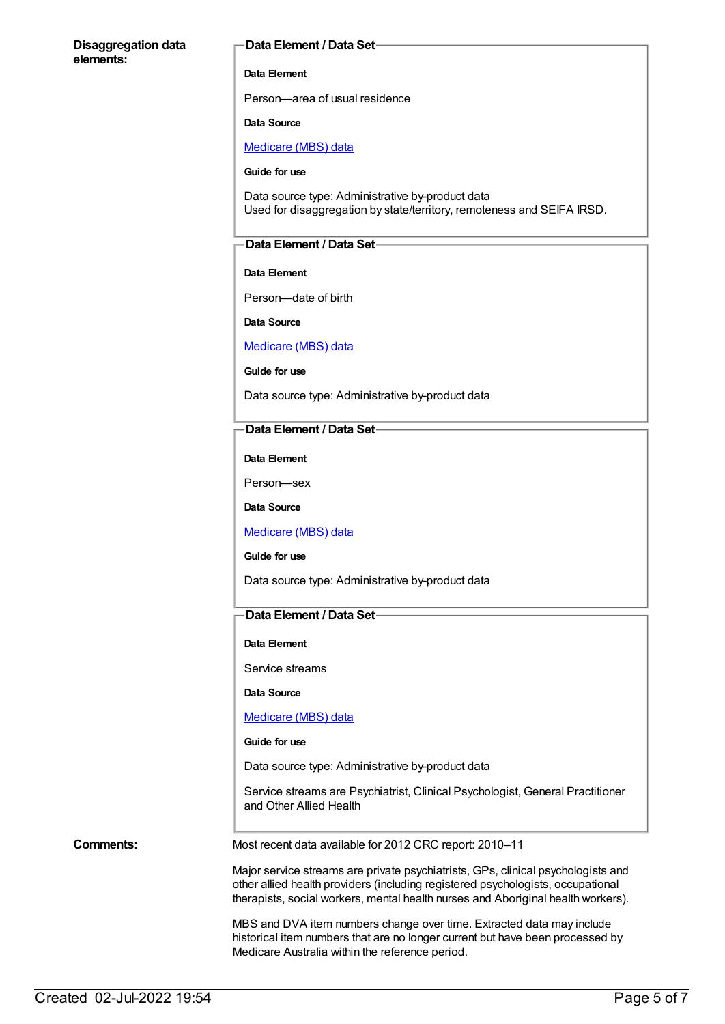#### **Disaggregation data elements:**

#### **Data Element / Data Set**

### **Data Element**

Person—area of usual residence

#### **Data Source**

[Medicare](https://meteor.aihw.gov.au/content/394305) (MBS) data

**Guide for use**

Data source type: Administrative by-product data Used for disaggregation by state/territory, remoteness and SEIFA IRSD.

### **Data Element / Data Set**

#### **Data Element**

Person—date of birth

**Data Source**

### [Medicare](https://meteor.aihw.gov.au/content/394305) (MBS) data

**Guide for use**

Data source type: Administrative by-product data

#### **Data Element / Data Set**

**Data Element**

Person—sex

**Data Source**

[Medicare](https://meteor.aihw.gov.au/content/394305) (MBS) data

**Guide for use**

Data source type: Administrative by-product data

### **Data Element / Data Set**

#### **Data Element**

Service streams

**Data Source**

#### [Medicare](https://meteor.aihw.gov.au/content/394305) (MBS) data

#### **Guide for use**

Data source type: Administrative by-product data

Service streams are Psychiatrist, Clinical Psychologist, General Practitioner and Other Allied Health

**Comments:** Most recent data available for 2012 CRC report: 2010–11

Major service streams are private psychiatrists, GPs, clinical psychologists and other allied health providers (including registered psychologists, occupational therapists, social workers, mental health nurses and Aboriginal health workers).

MBS and DVA item numbers change over time. Extracted data may include historical item numbers that are no longer current but have been processed by Medicare Australia within the reference period.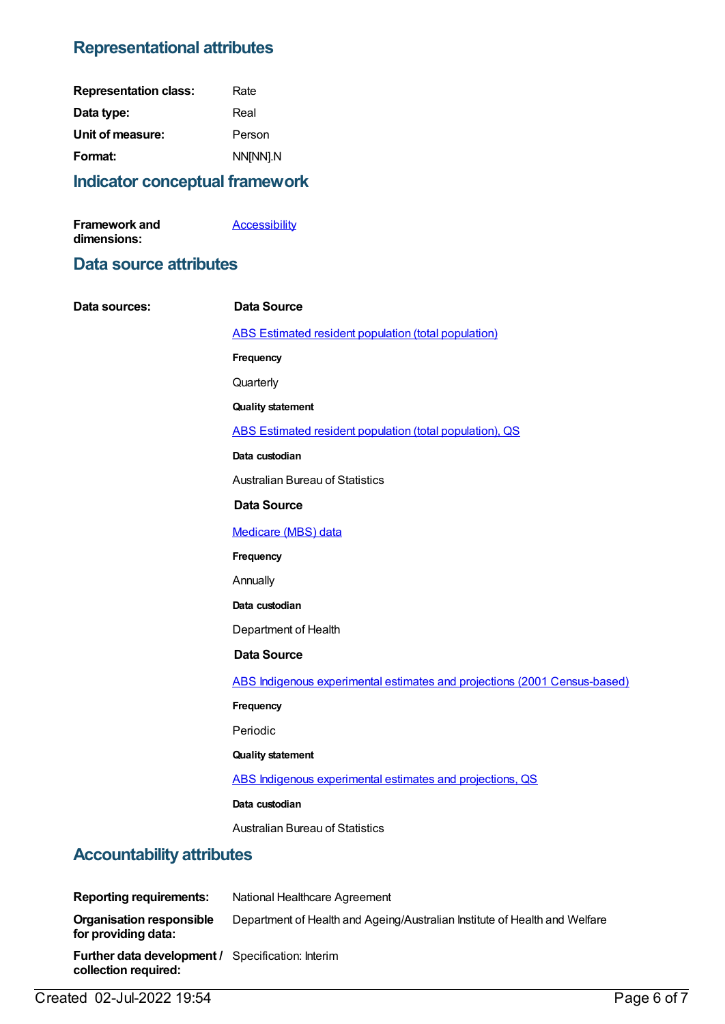# **Representational attributes**

| <b>Representation class:</b> | Rate     |
|------------------------------|----------|
| Data type:                   | Real     |
| Unit of measure:             | Person   |
| Format:                      | NN[NN].N |
|                              |          |

### **Indicator conceptual framework**

| Framework and | <b>Accessibility</b> |
|---------------|----------------------|
| dimensions:   |                      |

### **Data source attributes**

| Data sources:                                          | <b>Data Source</b>                                                         |
|--------------------------------------------------------|----------------------------------------------------------------------------|
|                                                        | <b>ABS Estimated resident population (total population)</b>                |
|                                                        | Frequency                                                                  |
|                                                        | Quarterly                                                                  |
|                                                        | <b>Quality statement</b>                                                   |
|                                                        | ABS Estimated resident population (total population), QS                   |
|                                                        | Data custodian                                                             |
|                                                        | <b>Australian Bureau of Statistics</b>                                     |
|                                                        | <b>Data Source</b>                                                         |
|                                                        | Medicare (MBS) data                                                        |
|                                                        | Frequency                                                                  |
|                                                        | Annually                                                                   |
|                                                        | Data custodian                                                             |
|                                                        | Department of Health                                                       |
|                                                        | <b>Data Source</b>                                                         |
|                                                        | ABS Indigenous experimental estimates and projections (2001 Census-based)  |
|                                                        | Frequency                                                                  |
|                                                        | Periodic                                                                   |
|                                                        | <b>Quality statement</b>                                                   |
|                                                        | ABS Indigenous experimental estimates and projections, QS                  |
|                                                        | Data custodian                                                             |
|                                                        | <b>Australian Bureau of Statistics</b>                                     |
| <b>Accountability attributes</b>                       |                                                                            |
| <b>Reporting requirements:</b>                         | National Healthcare Agreement                                              |
| <b>Organisation responsible</b><br>for providing data: | Department of Health and Ageing/Australian Institute of Health and Welfare |
| Further data development / Specification: Interim      |                                                                            |

Created 02-Jul-2022 19:54 Page 6 of 7

**collection required:**